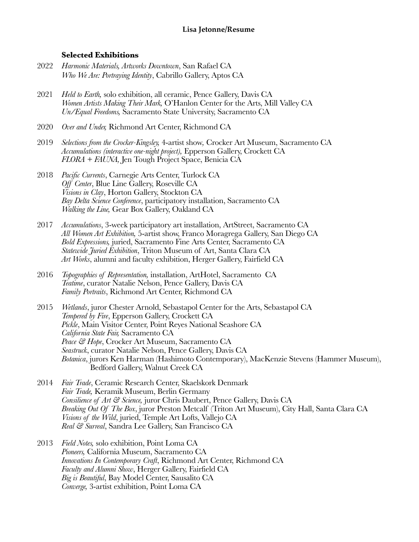# **Selected Exhibitions**

- 2022 *Harmonic Materials, Artworks Downtown*, San Rafael CA *Who We Are: Portraying Identity*, Cabrillo Gallery, Aptos CA
- 2021 *Held to Earth,* solo exhibition, all ceramic, Pence Gallery, Davis CA *Women Artists Making Their Mark,* O'Hanlon Center for the Arts, Mill Valley CA *Un/Equal Freedoms,* Sacramento State University, Sacramento CA
- 2020 *Over and Under,* Richmond Art Center, Richmond CA
- 2019 *Selections from the Crocker-Kingsley,* 4-artist show*,* Crocker Art Museum, Sacramento CA *Accumulations (interactive one-night project),* Epperson Gallery, Crockett CA *FLORA + FAUNA,* Jen Tough Project Space, Benicia CA
- 2018 *Pacific Currents*, Carnegie Arts Center, Turlock CA *Off Center*, Blue Line Gallery, Roseville CA *Visions in Clay*, Horton Gallery, Stockton CA *Bay Delta Science Conference*, participatory installation, Sacramento CA *Walking the Line,* Gear Box Gallery, Oakland CA
- 2017 *Accumulations*, 3-week participatory art installation, ArtStreet, Sacramento CA *All Women Art Exhibition,* 5-artist show, Franco Moragrega Gallery, San Diego CA *Bold Expressions,* juried, Sacramento Fine Arts Center, Sacramento CA *Statewide Juried Exhibition*, Triton Museum of Art, Santa Clara CA *Art Works*, alumni and faculty exhibition, Herger Gallery, Fairfield CA
- 2016 *Topographies of Representation,* installation, ArtHotel, Sacramento CA *Teatime*, curator Natalie Nelson, Pence Gallery, Davis CA *Family Portraits*, Richmond Art Center, Richmond CA
- 2015 *Wetlands*, juror Chester Arnold, Sebastapol Center for the Arts, Sebastapol CA *Tempered by Fire*, Epperson Gallery, Crockett CA *Pickle*, Main Visitor Center, Point Reyes National Seashore CA *California State Fair,* Sacramento CA *Peace & Hope*, Crocker Art Museum, Sacramento CA *Seastruck*, curator Natalie Nelson, Pence Gallery, Davis CA *Botanica*, jurors Ken Harman (Hashimoto Contemporary), MacKenzie Stevens (Hammer Museum), Bedford Gallery, Walnut Creek CA
- 2014 *Fair Trade*, Ceramic Research Center, Skaelskork Denmark *Fair Trade,* Keramik Museum, Berlin Germany *Consilience of Art & Science,* juror Chris Daubert, Pence Gallery, Davis CA *Breaking Out Of The Box*, juror Preston Metcalf (Triton Art Museum), City Hall, Santa Clara CA *Visions of the Wild*, juried, Temple Art Lofts, Vallejo CA *Real & Surreal*, Sandra Lee Gallery, San Francisco CA
- 2013 *Field Notes,* solo exhibition, Point Loma CA *Pioneers,* California Museum, Sacramento CA *Innovations In Contemporary Craft*, Richmond Art Center, Richmond CA *Faculty and Alumni Show*, Herger Gallery, Fairfield CA *Big is Beautiful*, Bay Model Center, Sausalito CA *Converge,* 3-artist exhibition, Point Loma CA